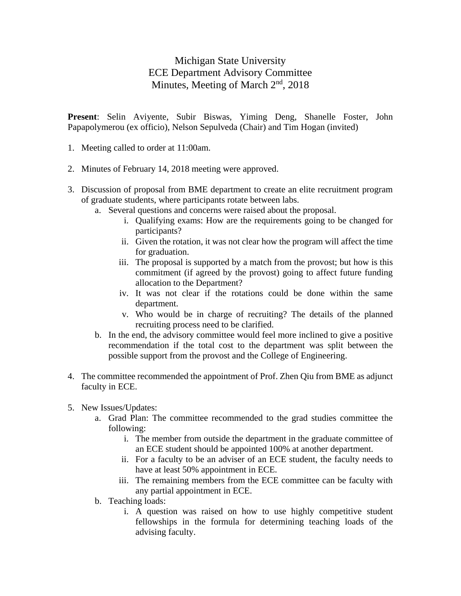## Michigan State University ECE Department Advisory Committee Minutes, Meeting of March 2<sup>nd</sup>, 2018

**Present**: Selin Aviyente, Subir Biswas, Yiming Deng, Shanelle Foster, John Papapolymerou (ex officio), Nelson Sepulveda (Chair) and Tim Hogan (invited)

- 1. Meeting called to order at 11:00am.
- 2. Minutes of February 14, 2018 meeting were approved.
- 3. Discussion of proposal from BME department to create an elite recruitment program of graduate students, where participants rotate between labs.
	- a. Several questions and concerns were raised about the proposal.
		- i. Qualifying exams: How are the requirements going to be changed for participants?
		- ii. Given the rotation, it was not clear how the program will affect the time for graduation.
		- iii. The proposal is supported by a match from the provost; but how is this commitment (if agreed by the provost) going to affect future funding allocation to the Department?
		- iv. It was not clear if the rotations could be done within the same department.
		- v. Who would be in charge of recruiting? The details of the planned recruiting process need to be clarified.
	- b. In the end, the advisory committee would feel more inclined to give a positive recommendation if the total cost to the department was split between the possible support from the provost and the College of Engineering.
- 4. The committee recommended the appointment of Prof. Zhen Qiu from BME as adjunct faculty in ECE.
- 5. New Issues/Updates:
	- a. Grad Plan: The committee recommended to the grad studies committee the following:
		- i. The member from outside the department in the graduate committee of an ECE student should be appointed 100% at another department.
		- ii. For a faculty to be an adviser of an ECE student, the faculty needs to have at least 50% appointment in ECE.
		- iii. The remaining members from the ECE committee can be faculty with any partial appointment in ECE.
	- b. Teaching loads:
		- i. A question was raised on how to use highly competitive student fellowships in the formula for determining teaching loads of the advising faculty.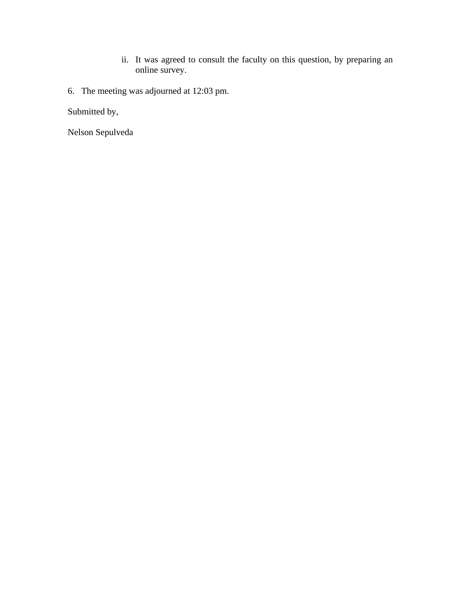- ii. It was agreed to consult the faculty on this question, by preparing an online survey.
- 6. The meeting was adjourned at 12:03 pm.

Submitted by,

Nelson Sepulveda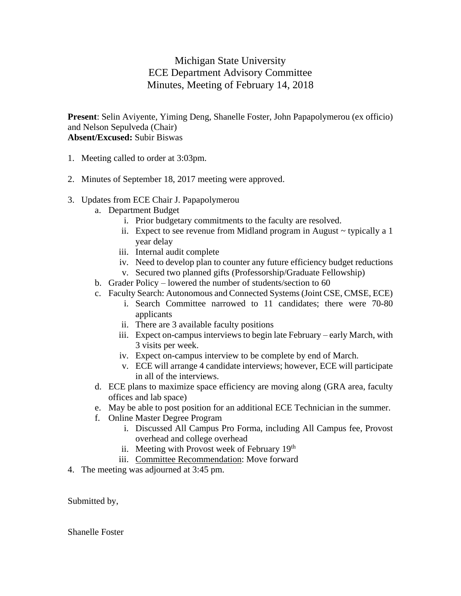## Michigan State University ECE Department Advisory Committee Minutes, Meeting of February 14, 2018

**Present**: Selin Aviyente, Yiming Deng, Shanelle Foster, John Papapolymerou (ex officio) and Nelson Sepulveda (Chair) **Absent/Excused:** Subir Biswas

- 1. Meeting called to order at 3:03pm.
- 2. Minutes of September 18, 2017 meeting were approved.
- 3. Updates from ECE Chair J. Papapolymerou
	- a. Department Budget
		- i. Prior budgetary commitments to the faculty are resolved.
		- ii. Expect to see revenue from Midland program in August  $\sim$  typically a 1 year delay
		- iii. Internal audit complete
		- iv. Need to develop plan to counter any future efficiency budget reductions
		- v. Secured two planned gifts (Professorship/Graduate Fellowship)
	- b. Grader Policy lowered the number of students/section to 60
	- c. Faculty Search: Autonomous and Connected Systems (Joint CSE, CMSE, ECE)
		- i. Search Committee narrowed to 11 candidates; there were 70-80 applicants
		- ii. There are 3 available faculty positions
		- iii. Expect on-campus interviews to begin late February early March, with 3 visits per week.
		- iv. Expect on-campus interview to be complete by end of March.
		- v. ECE will arrange 4 candidate interviews; however, ECE will participate in all of the interviews.
	- d. ECE plans to maximize space efficiency are moving along (GRA area, faculty offices and lab space)
	- e. May be able to post position for an additional ECE Technician in the summer.
	- f. Online Master Degree Program
		- i. Discussed All Campus Pro Forma, including All Campus fee, Provost overhead and college overhead
		- ii. Meeting with Provost week of February 19<sup>th</sup>
		- iii. Committee Recommendation: Move forward
- 4. The meeting was adjourned at 3:45 pm.

Submitted by,

Shanelle Foster